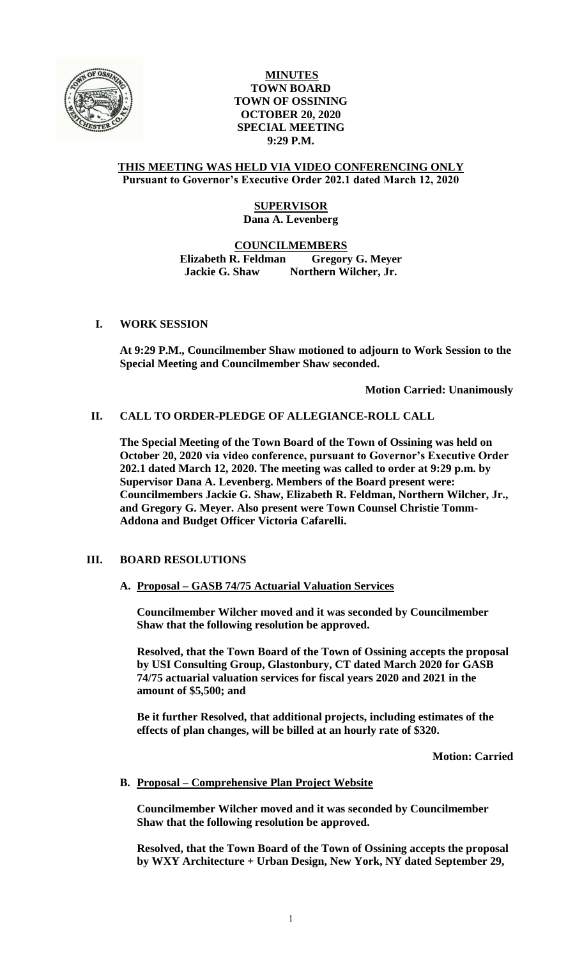

### **MINUTES TOWN BOARD TOWN OF OSSINING OCTOBER 20, 2020 SPECIAL MEETING 9:29 P.M.**

#### **THIS MEETING WAS HELD VIA VIDEO CONFERENCING ONLY Pursuant to Governor's Executive Order 202.1 dated March 12, 2020**

### **SUPERVISOR Dana A. Levenberg**

#### **COUNCILMEMBERS Elizabeth R. Feldman Gregory G. Meyer Jackie G. Shaw Northern Wilcher, Jr.**

# **I. WORK SESSION**

**At 9:29 P.M., Councilmember Shaw motioned to adjourn to Work Session to the Special Meeting and Councilmember Shaw seconded.**

**Motion Carried: Unanimously**

# **II. CALL TO ORDER-PLEDGE OF ALLEGIANCE-ROLL CALL**

**The Special Meeting of the Town Board of the Town of Ossining was held on October 20, 2020 via video conference, pursuant to Governor's Executive Order 202.1 dated March 12, 2020. The meeting was called to order at 9:29 p.m. by Supervisor Dana A. Levenberg. Members of the Board present were: Councilmembers Jackie G. Shaw, Elizabeth R. Feldman, Northern Wilcher, Jr., and Gregory G. Meyer. Also present were Town Counsel Christie Tomm-Addona and Budget Officer Victoria Cafarelli.** 

### **III. BOARD RESOLUTIONS**

### **A. Proposal – GASB 74/75 Actuarial Valuation Services**

**Councilmember Wilcher moved and it was seconded by Councilmember Shaw that the following resolution be approved.**

**Resolved, that the Town Board of the Town of Ossining accepts the proposal by USI Consulting Group, Glastonbury, CT dated March 2020 for GASB 74/75 actuarial valuation services for fiscal years 2020 and 2021 in the amount of \$5,500; and** 

**Be it further Resolved, that additional projects, including estimates of the effects of plan changes, will be billed at an hourly rate of \$320.**

**Motion: Carried**

### **B. Proposal – Comprehensive Plan Project Website**

**Councilmember Wilcher moved and it was seconded by Councilmember Shaw that the following resolution be approved.**

**Resolved, that the Town Board of the Town of Ossining accepts the proposal by WXY Architecture + Urban Design, New York, NY dated September 29,**